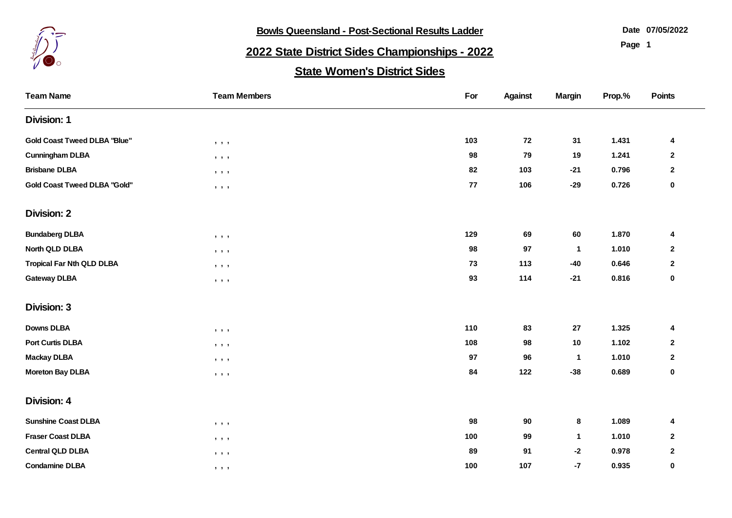

**Bowls Queensland - Post-Sectional Results Ladder** 

**07/05/2022**

**Page 1**

## **2022 State District Sides Championships - 2022**

## **State Women's District Sides**

| <b>Team Name</b>                    | <b>Team Members</b>                                                                        | For        | <b>Against</b> | <b>Margin</b> | Prop.% | <b>Points</b>    |
|-------------------------------------|--------------------------------------------------------------------------------------------|------------|----------------|---------------|--------|------------------|
| <b>Division: 1</b>                  |                                                                                            |            |                |               |        |                  |
| <b>Gold Coast Tweed DLBA "Blue"</b> | $\bullet\quad \bullet\quad \bullet$                                                        | 103        | 72             | 31            | 1.431  | 4                |
| <b>Cunningham DLBA</b>              | $\qquad \qquad \bullet \quad \bullet \quad \bullet$                                        | 98         | 79             | 19            | 1.241  | $\mathbf{2}$     |
| <b>Brisbane DLBA</b>                | $\bullet\quad\bullet\quad\bullet$                                                          | 82         | 103            | $-21$         | 0.796  | $\bf 2$          |
| <b>Gold Coast Tweed DLBA "Gold"</b> | $\qquad \qquad \bullet \qquad \bullet$                                                     | ${\bf 77}$ | 106            | $-29$         | 0.726  | 0                |
| <b>Division: 2</b>                  |                                                                                            |            |                |               |        |                  |
| <b>Bundaberg DLBA</b>               | $\qquad \qquad \bullet \quad \bullet \quad \bullet$                                        | 129        | 69             | 60            | 1.870  | 4                |
| North QLD DLBA                      | $\qquad \qquad \bullet \qquad \bullet$                                                     | 98         | 97             | $\mathbf{1}$  | 1.010  | $\boldsymbol{2}$ |
| <b>Tropical Far Nth QLD DLBA</b>    | $\bullet\qquad \bullet\qquad \bullet$                                                      | 73         | 113            | $-40$         | 0.646  | $\boldsymbol{2}$ |
| <b>Gateway DLBA</b>                 | $\qquad \qquad \bullet \qquad \bullet$                                                     | 93         | 114            | $-21$         | 0.816  | $\pmb{0}$        |
| <b>Division: 3</b>                  |                                                                                            |            |                |               |        |                  |
| <b>Downs DLBA</b>                   | $\bullet\qquad \bullet\qquad \bullet$                                                      | 110        | 83             | $27\,$        | 1.325  | 4                |
| <b>Port Curtis DLBA</b>             | $\begin{array}{ccccccccccccc} \bullet & \bullet & \bullet & \bullet & \bullet \end{array}$ | 108        | 98             | 10            | 1.102  | $\mathbf{2}$     |
| <b>Mackay DLBA</b>                  | $\mathbf{y}=\mathbf{y}=\mathbf{y}$                                                         | 97         | 96             | $\mathbf{1}$  | 1.010  | $\boldsymbol{2}$ |
| <b>Moreton Bay DLBA</b>             | , , ,                                                                                      | 84         | 122            | $-38$         | 0.689  | 0                |
| <b>Division: 4</b>                  |                                                                                            |            |                |               |        |                  |
| <b>Sunshine Coast DLBA</b>          | $\mathbf{y}=\mathbf{y}=\mathbf{y}$                                                         | 98         | 90             | 8             | 1.089  | 4                |
| <b>Fraser Coast DLBA</b>            | $\qquad \qquad \bullet \quad \bullet \quad \bullet$                                        | 100        | 99             | $\mathbf{1}$  | 1.010  | $\boldsymbol{2}$ |
| <b>Central QLD DLBA</b>             | $\qquad \qquad \bullet \qquad \bullet$                                                     | 89         | 91             | $-2$          | 0.978  | $\mathbf 2$      |
| <b>Condamine DLBA</b>               | $\qquad \qquad \bullet \qquad \bullet$                                                     | 100        | 107            | $-7$          | 0.935  | 0                |